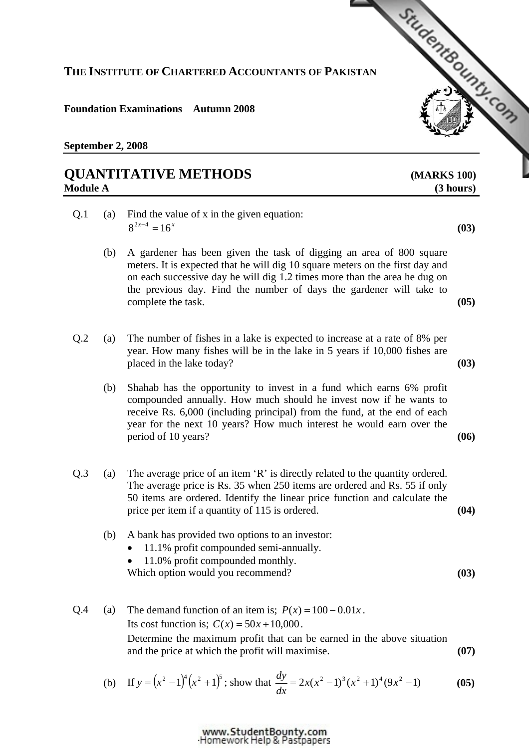### **THE INSTITUTE OF CHARTERED ACCOUNTANTS OF PAKISTAN**

#### **Foundation Examinations Autumn 2008**

**September 2, 2008** 

# **QUANTITATIVE METHODS [\(MARKS 100\)](http://www.studentbounty.com/)  Module A** (3 hours)

## Q.1 (a) Find the value of x in the given equation:  $8^{2x-4} = 16^x$  (03)

- (b) A gardener has been given the task of digging an area of 800 square meters. It is expected that he will dig 10 square meters on the first day and on each successive day he will dig 1.2 times more than the area he dug on the previous day. Find the number of days the gardener will take to complete the task. **(05)**
- Q.2 (a) The number of fishes in a lake is expected to increase at a rate of 8% per year. How many fishes will be in the lake in 5 years if 10,000 fishes are placed in the lake today? **(03)**
	- (b) Shahab has the opportunity to invest in a fund which earns 6% profit compounded annually. How much should he invest now if he wants to receive Rs. 6,000 (including principal) from the fund, at the end of each year for the next 10 years? How much interest he would earn over the period of 10 years? **(06)**
- Q.3 (a) The average price of an item 'R' is directly related to the quantity ordered. The average price is Rs. 35 when 250 items are ordered and Rs. 55 if only 50 items are ordered. Identify the linear price function and calculate the price per item if a quantity of 115 is ordered. **(04)**

### (b) A bank has provided two options to an investor:

- 11.1% profit compounded semi-annually.
- 11.0% profit compounded monthly.

Which option would you recommend? **(03)** 

Q.4 (a) The demand function of an item is;  $P(x) = 100 - 0.01x$ . Its cost function is;  $C(x) = 50x + 10,000$ . Determine the maximum profit that can be earned in the above situation and the price at which the profit will maximise. **(07)** 

(b) If 
$$
y = (x^2 - 1)^4 (x^2 + 1)^5
$$
; show that  $\frac{dy}{dx} = 2x(x^2 - 1)^3 (x^2 + 1)^4 (9x^2 - 1)$  (05)

www.StudentBounty.com Homework Help & Pastoapers

StudentBoundary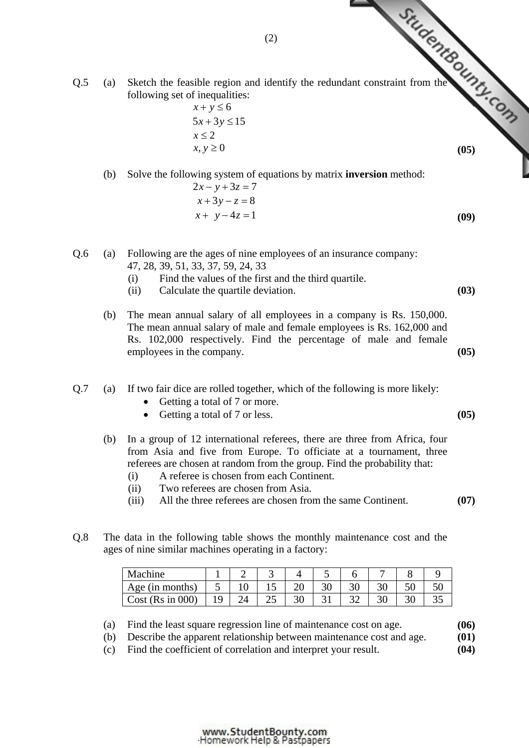(2) (a) Sketch the feasible region and identify the redund[ant constraint from the](http://www.studentbounty.com/)  $\frac{dP_{\text{max}}}{dP_{\text{max}}}$ following set of inequalities:

 $x + y \leq 6$  $5x + 3y \le 15$  $x \leq 2$  $x, y \ge 0$  (05)

(b) Solve the following system of equations by matrix **inversion** method:

- $2x y + 3z = 7$  $x + 3y - z = 8$  $x + y - 4z = 1$  (09)
- Q.6 (a) Following are the ages of nine employees of an insurance company: 47, 28, 39, 51, 33, 37, 59, 24, 33
	- (i) Find the values of the first and the third quartile.
	- (ii) Calculate the quartile deviation. **(03)**
	- (b) The mean annual salary of all employees in a company is Rs. 150,000. The mean annual salary of male and female employees is Rs. 162,000 and Rs. 102,000 respectively. Find the percentage of male and female employees in the company. **(05)**
- Q.7 (a) If two fair dice are rolled together, which of the following is more likely:
	- Getting a total of 7 or more.
	- Getting a total of 7 or less. **(05)**
	- (b) In a group of 12 international referees, there are three from Africa, four from Asia and five from Europe. To officiate at a tournament, three referees are chosen at random from the group. Find the probability that:
		- (i) A referee is chosen from each Continent.
		- (ii) Two referees are chosen from Asia.
		- (iii) All the three referees are chosen from the same Continent. **(07)**
- Q.8 The data in the following table shows the monthly maintenance cost and the ages of nine similar machines operating in a factory:

| Machine              |    | ⋍  | ~  |    | ັ  |    |          | O   |    |
|----------------------|----|----|----|----|----|----|----------|-----|----|
| Age (in months)      | ັ  |    | ⊥ັ | ∠∪ | 30 | ЭU | 2C<br>υc | JU. | 50 |
| Cost ( $Rs in 000$ ) | 19 | 24 | ر_ | υc | ◡▴ |    | 30       | ЭU  | ບປ |

(a) Find the least square regression line of maintenance cost on age. **(06)**

(b) Describe the apparent relationship between maintenance cost and age. **(01)**

(c) Find the coefficient of correlation and interpret your result. **(04)**

(2)

www.StudentBounty.com Homework Help & Pastpapers